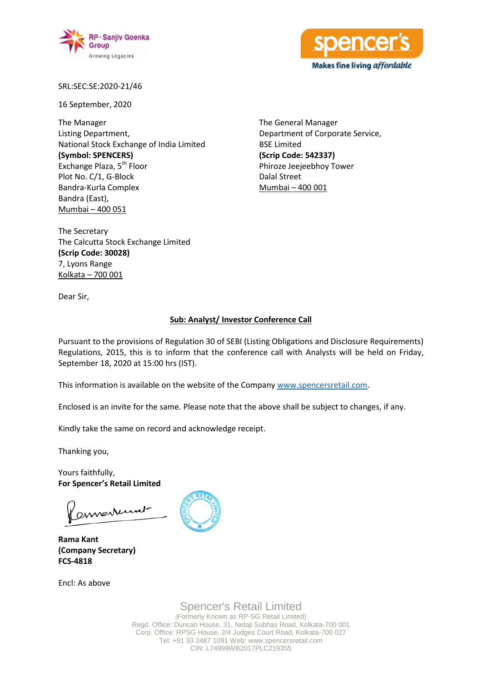



SRL:SEC:SE:2020-21/46

16 September, 2020

The Manager Listing Department, National Stock Exchange of India Limited **(Symbol: SPENCERS)** Exchange Plaza, 5<sup>th</sup> Floor Plot No. C/1, G-Block Bandra-Kurla Complex Bandra (East), Mumbai – 400 051

The General Manager Department of Corporate Service, BSE Limited **(Scrip Code: 542337)** Phiroze Jeejeebhoy Tower Dalal Street Mumbai – 400 001

The Secretary The Calcutta Stock Exchange Limited **(Scrip Code: 30028)** 7, Lyons Range Kolkata – 700 001

Dear Sir,

## **Sub: Analyst/ Investor Conference Call**

Pursuant to the provisions of Regulation 30 of SEBI (Listing Obligations and Disclosure Requirements) Regulations, 2015, this is to inform that the conference call with Analysts will be held on Friday, September 18, 2020 at 15:00 hrs (IST).

This information is available on the website of the Company [www.spencersretail.com.](http://www.spencersretail.com/)

Enclosed is an invite for the same. Please note that the above shall be subject to changes, if any.

Kindly take the same on record and acknowledge receipt.

Thanking you,

Yours faithfully, **For Spencer's Retail Limited**

ennerrunt

**Rama Kant (Company Secretary) FCS-4818**

Encl: As above



Spencer's Retail Limited (Formerly Known as RP-SG Retail Limited) Regd. Office: Duncan House, 31, Netaji Subhas Road, Kolkata-700 001 Corp. Office: RPSG House, 2/4 Judges Court Road, Kolkata-700 027 Tel: +91 33 2487 1091 Web: www.spencersretail.com CIN: L74999WB2017PLC219355